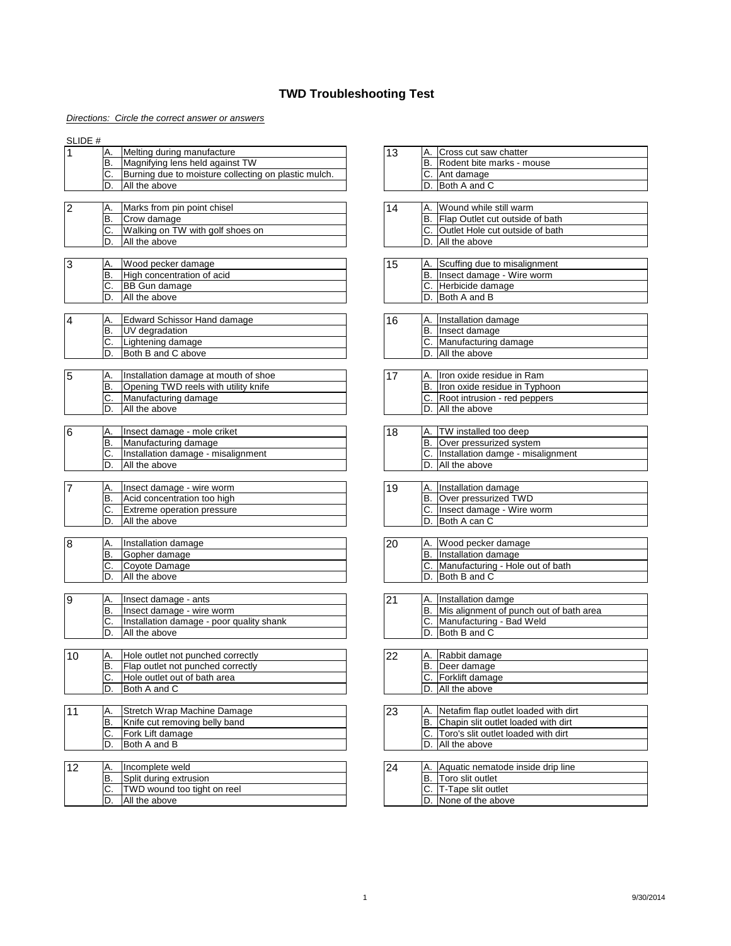# *Directions: Circle the correct answer or answers*

### SLIDE #

|     | Melting during manufacture                           | .13 | Cross cut saw chatter        |
|-----|------------------------------------------------------|-----|------------------------------|
| IB. | Magnifying lens held against TW                      |     | B. Rodent bite marks - mouse |
| C.  | Burning due to moisture collecting on plastic mulch. |     | Ant damage                   |
| D.  | <b>All the above</b>                                 |     | Both A and C                 |

| $\overline{2}$ |    | Marks from pin point chisel      |  | IА | Wound while still warm                 |
|----------------|----|----------------------------------|--|----|----------------------------------------|
|                | B  | Crow damage                      |  | B  | <b>Flap Outlet cut outside of bath</b> |
|                | J. | Walking on TW with golf shoes on |  |    | <b>Outlet Hole cut outside of bath</b> |
|                | D  | All the above                    |  | D  | All the above                          |

| 3 |         | Wood pecker damage                | l 5 |     | Scuffing due to misalignment |
|---|---------|-----------------------------------|-----|-----|------------------------------|
|   | 'B      | <b>High concentration of acid</b> |     | IB. | Insect damage - Wire worm    |
|   | ⌒<br>J. | <b>BB Gun damage</b>              |     |     | Herbicide damage             |
|   | υ.      | All the above                     |     |     | <b>Both A and B</b>          |

| 4 | IA.          | <b>Edward Schissor Hand damage</b> | 16 | IA. | Installation damage  |
|---|--------------|------------------------------------|----|-----|----------------------|
|   | ΙB           | <b>IUV</b> degradation             |    | IB. | Ilnsect damage       |
|   | $\sim$<br>J. | Lightening damage                  |    | IC. | Manufacturing damage |
|   | D            | <b>Both B and C above</b>          |    |     | All the above        |

| 15 |         | Installation damage at mouth of shoe |  | IA. | Iron oxide residue in Ram     |
|----|---------|--------------------------------------|--|-----|-------------------------------|
|    | B       | Opening TWD reels with utility knife |  | IB. | Iron oxide residue in Typhoon |
|    | ⌒<br>J. | Manufacturing damage                 |  | IC. | Root intrusion - red peppers  |
|    | D       | All the above                        |  | ١D  | All the above                 |

| 16 | IA.            | Ilnsect damage - mole criket       | ∣18 | <b>TW</b> installed too deep      |
|----|----------------|------------------------------------|-----|-----------------------------------|
|    | Β              | Manufacturing damage               |     | <b>Over pressurized system</b>    |
|    | ⌒<br>$\bullet$ | Installation damage - misalignment |     | Installation damge - misalignment |
|    | D              | All the above                      |     | All the above                     |

| - | <sup>A</sup> . | Tinsect damage - wire worm         | 19 | IA. | Installation damage       |
|---|----------------|------------------------------------|----|-----|---------------------------|
|   | D.             | Acid concentration too high        |    | 'B  | Over pressurized TWD      |
|   | ⌒<br>ັ         | <b>IExtreme operation pressure</b> |    |     | Insect damage - Wire worm |
|   | ◡.             | All the above                      |    |     | <b>Both A can C</b>       |

| 8 | IA.       | Installation damage | 20 | IA.        | Wood pecker damage               |
|---|-----------|---------------------|----|------------|----------------------------------|
|   | <b>B.</b> | Gopher damage       |    | B          | Installation damage              |
|   | ⌒<br>J.   | Coyote Damage       |    | $\sqrt{ }$ | Manufacturing - Hole out of bath |
|   | ∽<br>ע    | All the above       |    | D          | Both B and C                     |

| 9 | <i>Α.</i> | Insect damage - ants                     | יטי.<br>┕ | IA. | Installation damge                      |
|---|-----------|------------------------------------------|-----------|-----|-----------------------------------------|
|   | D.        | Insect damage - wire worm                |           | IB. | Mis alignment of punch out of bath area |
|   | J.        | Installation damage - poor quality shank |           | IC. | Manufacturing - Bad Weld                |
|   | D.        | All the above                            |           | 'D  | <b>Both B and C</b>                     |

|  | Hole outlet not punched correctly        |  |     | Rabbit damage                                                                                                                                                                                                                                                                                                                                                                        |
|--|------------------------------------------|--|-----|--------------------------------------------------------------------------------------------------------------------------------------------------------------------------------------------------------------------------------------------------------------------------------------------------------------------------------------------------------------------------------------|
|  | <b>Flap outlet not punched correctly</b> |  | IB. | Deer damage                                                                                                                                                                                                                                                                                                                                                                          |
|  | I Hole outlet out of bath area           |  |     | <b>Forklift damage</b>                                                                                                                                                                                                                                                                                                                                                               |
|  | $I$ $R$ $I$ $R$ $I$ $R$ $I$ $R$          |  |     | $\overline{M}$ $\overline{M}$ $\overline{M}$ $\overline{M}$ $\overline{M}$ $\overline{M}$ $\overline{M}$ $\overline{M}$ $\overline{M}$ $\overline{M}$ $\overline{M}$ $\overline{M}$ $\overline{M}$ $\overline{M}$ $\overline{M}$ $\overline{M}$ $\overline{M}$ $\overline{M}$ $\overline{M}$ $\overline{M}$ $\overline{M}$ $\overline{M}$ $\overline{M}$ $\overline{M}$ $\overline{$ |

| $\vert$ 1 | А.     | Stretch Wrap Machine Damage   | 23 | IA. | Netafim flap outlet loaded with dirt |
|-----------|--------|-------------------------------|----|-----|--------------------------------------|
|           | ΙB.    | Knife cut removing belly band |    | IΒ  | Chapin slit outlet loaded with dirt  |
|           | ⌒<br>ັ | <b>IFork Lift damage</b>      |    |     | Toro's slit outlet loaded with dirt  |
|           | . ש    | Both A and B                  |    |     | All the above                        |

| 14 <sub>O</sub> |    | Incomplete weld                     | 124 | <b>Α</b> | Aquatic nematode inside drip line |
|-----------------|----|-------------------------------------|-----|----------|-----------------------------------|
|                 | B  | Split during extrusion              |     | Έ        | Toro slit outlet                  |
|                 | J. | <b>ITWD</b> wound too tight on reel |     |          | Tape slit outlet                  |
|                 | D  | All the above                       |     |          | None of the above                 |

# **TWD Troubleshooting Test**

|  | A. Rabbit damage   |
|--|--------------------|
|  | B. Deer damage     |
|  | C. Forklift damage |
|  | All the above      |

#### $|D.|$ Both A and C  $|D.|$  Both A and C

| $\overline{23}$ | IA.   Netafim flap outlet loaded with dirt |
|-----------------|--------------------------------------------|
|                 | IB. Chapin slit outlet loaded with dirt    |
|                 | IC. Toro's slit outlet loaded with dirt    |
|                 | <b>ID.</b> IAII the above                  |

|  | A. Aquatic nematode inside drip line |
|--|--------------------------------------|
|  | <b>Toro slit outlet</b>              |
|  | C. T-Tape slit outlet                |
|  | D. None of the above                 |

| 13 | IA. ICross cut saw chatter   |
|----|------------------------------|
|    | B. Rodent bite marks - mouse |
|    | <b>C.</b> Ant damage         |
|    | D. Both A and C              |

| 14 | A. Wound while still warm          |
|----|------------------------------------|
|    | B. Flap Outlet cut outside of bath |
|    | C. Outlet Hole cut outside of bath |
|    | . All the above                    |

| 15 | A. Scuffing due to misalignment |
|----|---------------------------------|
|    | IB. Insect damage - Wire worm   |
|    | C. Herbicide damage             |
|    | D. Both A and B                 |

| 16 | A. Installation damage  |
|----|-------------------------|
|    | B. Insect damage        |
|    | C. Manufacturing damage |
|    | D. All the above        |

| <b>20</b> | IA.   Wood pecker damage            |
|-----------|-------------------------------------|
|           | B. Installation damage              |
|           | C. Manufacturing - Hole out of bath |
|           | D. Both B and C                     |

|  | A. Installation damge                      |
|--|--------------------------------------------|
|  | B. Mis alignment of punch out of bath area |
|  | IC. Manufacturing - Bad Weld               |
|  | ID. Both B and C                           |

|  | A. Iron oxide residue in Ram     |
|--|----------------------------------|
|  | B. Iron oxide residue in Typhoon |
|  | C. Root intrusion - red peppers  |
|  | D. All the above                 |

| 18 | A. TW installed too deep             |
|----|--------------------------------------|
|    | B. Over pressurized system           |
|    | C. Installation damge - misalignment |
|    | D. All the above                     |

|  | A. Installation damage         |
|--|--------------------------------|
|  | <b>B.</b> Over pressurized TWD |
|  | C. Insect damage - Wire worm   |
|  | . Both A can C                 |